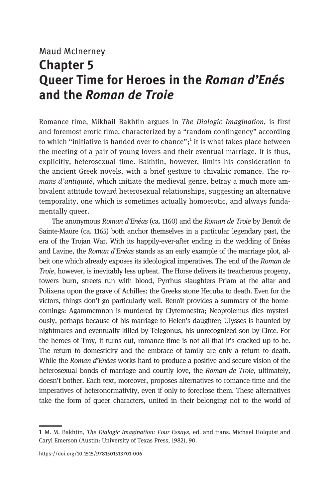## Maud McInerney Chapter 5 Queer Time for Heroes in the Roman d'Enés and the Roman de Troie

Romance time, Mikhail Bakhtin argues in The Dialogic Imagination, is first and foremost erotic time, characterized by a "random contingency" according to which "initiative is handed over to chance";<sup>1</sup> it is what takes place between the meeting of a pair of young lovers and their eventual marriage. It is thus, explicitly, heterosexual time. Bakhtin, however, limits his consideration to the ancient Greek novels, with a brief gesture to chivalric romance. The romans d'antiquité, which initiate the medieval genre, betray a much more ambivalent attitude toward heterosexual relationships, suggesting an alternative temporality, one which is sometimes actually homoerotic, and always fundamentally queer.

The anonymous Roman d'Enéas (ca. 1160) and the Roman de Troie by Benoît de Sainte-Maure (ca. 1165) both anchor themselves in a particular legendary past, the era of the Trojan War. With its happily-ever-after ending in the wedding of Enéas and Lavine, the Roman d'Enéas stands as an early example of the marriage plot, albeit one which already exposes its ideological imperatives. The end of the Roman de Troie, however, is inevitably less upbeat. The Horse delivers its treacherous progeny, towers burn, streets run with blood, Pyrrhus slaughters Priam at the altar and Polixena upon the grave of Achilles; the Greeks stone Hecuba to death. Even for the victors, things don't go particularly well. Benoît provides a summary of the homecomings: Agammemnon is murdered by Clytemnestra; Neoptolemus dies mysteriously, perhaps because of his marriage to Helen's daughter; Ulysses is haunted by nightmares and eventually killed by Telegonus, his unrecognized son by Circe. For the heroes of Troy, it turns out, romance time is not all that it's cracked up to be. The return to domesticity and the embrace of family are only a return to death. While the Roman d'Enéas works hard to produce a positive and secure vision of the heterosexual bonds of marriage and courtly love, the Roman de Troie, ultimately, doesn't bother. Each text, moreover, proposes alternatives to romance time and the imperatives of heteronormativity, even if only to foreclose them. These alternatives take the form of queer characters, united in their belonging not to the world of

<sup>1</sup> M. M. Bakhtin, The Dialogic Imagination: Four Essays, ed. and trans. Michael Holquist and Caryl Emerson (Austin: University of Texas Press, 1982), 90.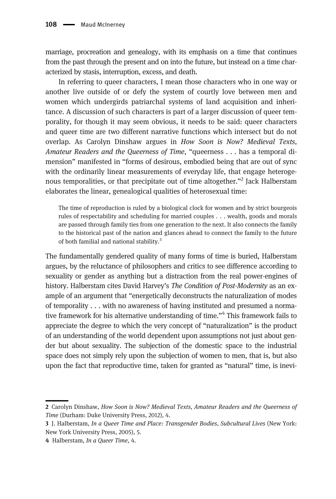marriage, procreation and genealogy, with its emphasis on a time that continues from the past through the present and on into the future, but instead on a time characterized by stasis, interruption, excess, and death.

In referring to queer characters, I mean those characters who in one way or another live outside of or defy the system of courtly love between men and women which undergirds patriarchal systems of land acquisition and inheritance. A discussion of such characters is part of a larger discussion of queer temporality, for though it may seem obvious, it needs to be said: queer characters and queer time are two different narrative functions which intersect but do not overlap. As Carolyn Dinshaw argues in How Soon is Now? Medieval Texts, Amateur Readers and the Queerness of Time, "queerness . . . has a temporal dimension" manifested in "forms of desirous, embodied being that are out of sync with the ordinarily linear measurements of everyday life, that engage heterogenous temporalities, or that precipitate out of time altogether."<sup>2</sup> Jack Halberstam elaborates the linear, genealogical qualities of heterosexual time:

The time of reproduction is ruled by a biological clock for women and by strict bourgeois rules of respectability and scheduling for married couples . . . wealth, goods and morals are passed through family ties from one generation to the next. It also connects the family to the historical past of the nation and glances ahead to connect the family to the future of both familial and national stability.<sup>3</sup>

The fundamentally gendered quality of many forms of time is buried, Halberstam argues, by the reluctance of philosophers and critics to see difference according to sexuality or gender as anything but a distraction from the real power-engines of history. Halberstam cites David Harvey's The Condition of Post-Modernity as an example of an argument that "energetically deconstructs the naturalization of modes of temporality . . . with no awareness of having instituted and presumed a normative framework for his alternative understanding of time."<sup>4</sup> This framework fails to appreciate the degree to which the very concept of "naturalization" is the product of an understanding of the world dependent upon assumptions not just about gender but about sexuality. The subjection of the domestic space to the industrial space does not simply rely upon the subjection of women to men, that is, but also upon the fact that reproductive time, taken for granted as "natural" time, is inevi-

<sup>2</sup> Carolyn Dinshaw, How Soon is Now? Medieval Texts, Amateur Readers and the Queerness of Time (Durham: Duke University Press, 2012), 4.

<sup>3</sup> J. Halberstam, In a Queer Time and Place: Transgender Bodies, Subcultural Lives (New York: New York University Press, 2005), 5.

<sup>4</sup> Halberstam, In a Queer Time, 4.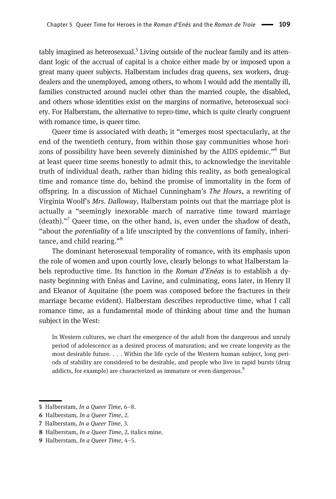$t$ ably imagined as heterosexual.<sup>5</sup> Living outside of the nuclear family and its attendant logic of the accrual of capital is a choice either made by or imposed upon a great many queer subjects. Halberstam includes drag queens, sex workers, drugdealers and the unemployed, among others, to whom I would add the mentally ill, families constructed around nuclei other than the married couple, the disabled, and others whose identities exist on the margins of normative, heterosexual society. For Halberstam, the alternative to repro-time, which is quite clearly congruent with romance time, is queer time.

Queer time is associated with death; it "emerges most spectacularly, at the end of the twentieth century, from within those gay communities whose horizons of possibility have been severely diminished by the AIDS epidemic."<sup>6</sup> But at least queer time seems honestly to admit this, to acknowledge the inevitable truth of individual death, rather than hiding this reality, as both genealogical time and romance time do, behind the promise of immortality in the form of offspring. In a discussion of Michael Cunningham's The Hours, a rewriting of Virginia Woolf's Mrs. Dalloway, Halberstam points out that the marriage plot is actually a "seemingly inexorable march of narrative time toward marriage  $(d$ eath)."<sup>7</sup> Queer time, on the other hand, is, even under the shadow of death, "about the potentiality of a life unscripted by the conventions of family, inheritance, and child rearing."<sup>8</sup>

The dominant heterosexual temporality of romance, with its emphasis upon the role of women and upon courtly love, clearly belongs to what Halberstam labels reproductive time. Its function in the Roman d'Enéas is to establish a dynasty beginning with Enéas and Lavine, and culminating, eons later, in Henry II and Eleanor of Aquitaine (the poem was composed before the fractures in their marriage became evident). Halberstam describes reproductive time, what I call romance time, as a fundamental mode of thinking about time and the human subject in the West:

In Western cultures, we chart the emergence of the adult from the dangerous and unruly period of adolescence as a desired process of maturation; and we create longevity as the most desirable future. . . . Within the life cycle of the Western human subject, long periods of stability are considered to be desirable, and people who live in rapid bursts (drug addicts, for example) are characterized as immature or even dangerous.<sup>9</sup>

<sup>5</sup> Halberstam, In a Queer Time, 6-8.

<sup>6</sup> Halberstam, In a Queer Time, 2.

<sup>7</sup> Halberstam, In a Queer Time, 3.

<sup>8</sup> Halberstam, In a Queer Time, 2, italics mine.

<sup>9</sup> Halberstam, In a Queer Time, 4-5.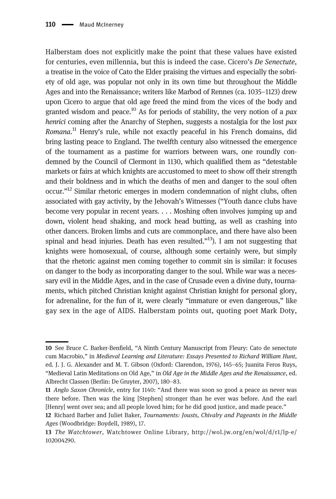Halberstam does not explicitly make the point that these values have existed for centuries, even millennia, but this is indeed the case. Cicero's De Senectute, a treatise in the voice of Cato the Elder praising the virtues and especially the sobriety of old age, was popular not only in its own time but throughout the Middle Ages and into the Renaissance; writers like Marbod of Rennes (ca. 1035–1123) drew upon Cicero to argue that old age freed the mind from the vices of the body and granted wisdom and peace.<sup>10</sup> As for periods of stability, the very notion of a *pax* henrici coming after the Anarchy of Stephen, suggests a nostalgia for the lost pax Romana.<sup>11</sup> Henry's rule, while not exactly peaceful in his French domains, did bring lasting peace to England. The twelfth century also witnessed the emergence of the tournament as a pastime for warriors between wars, one roundly condemned by the Council of Clermont in 1130, which qualified them as "detestable markets or fairs at which knights are accustomed to meet to show off their strength and their boldness and in which the deaths of men and danger to the soul often occur."<sup>12</sup> Similar rhetoric emerges in modern condemnation of night clubs, often associated with gay activity, by the Jehovah's Witnesses ("Youth dance clubs have become very popular in recent years. . . . Moshing often involves jumping up and down, violent head shaking, and mock head butting, as well as crashing into other dancers. Broken limbs and cuts are commonplace, and there have also been spinal and head injuries. Death has even resulted. $13$ . I am not suggesting that knights were homosexual, of course, although some certainly were, but simply that the rhetoric against men coming together to commit sin is similar: it focuses on danger to the body as incorporating danger to the soul. While war was a necessary evil in the Middle Ages, and in the case of Crusade even a divine duty, tournaments, which pitched Christian knight against Christian knight for personal glory, for adrenaline, for the fun of it, were clearly "immature or even dangerous," like gay sex in the age of AIDS. Halberstam points out, quoting poet Mark Doty,

<sup>10</sup> See Bruce C. Barker-Benfield, "A Ninth Century Manuscript from Fleury: Cato de senectute cum Macrobio," in Medieval Learning and Literature: Essays Presented to Richard William Hunt, ed. J. J. G. Alexander and M. T. Gibson (Oxford: Clarendon, 1976), 145–65; Juanita Feros Ruys, "Medieval Latin Meditations on Old Age," in Old Age in the Middle Ages and the Renaissance, ed. Albrecht Classen (Berlin: De Gruyter, 2007), 180–83.

<sup>11</sup> Anglo Saxon Chronicle, entry for 1140: "And there was soon so good a peace as never was there before. Then was the king [Stephen] stronger than he ever was before. And the earl [Henry] went over sea; and all people loved him; for he did good justice, and made peace."

<sup>12</sup> Richard Barber and Juliet Baker, Tournaments: Jousts, Chivalry and Pageants in the Middle Ages (Woodbridge: Boydell, 1989), 17.

<sup>13</sup> The Watchtower, Watchtower Online Library, [http://wol.jw.org/en/wol/d/r1/lp-e/](http://wol.jw.org/en/wol/d/r1/lp-e/102004290) [102004290.](http://wol.jw.org/en/wol/d/r1/lp-e/102004290)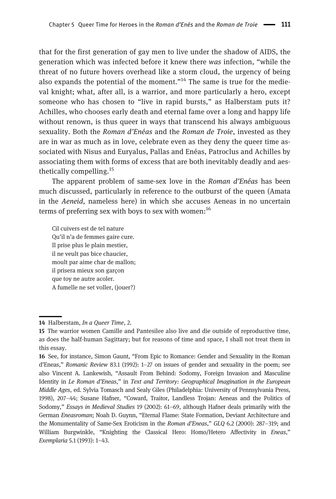that for the first generation of gay men to live under the shadow of AIDS, the generation which was infected before it knew there was infection, "while the threat of no future hovers overhead like a storm cloud, the urgency of being also expands the potential of the moment."<sup>14</sup> The same is true for the medieval knight; what, after all, is a warrior, and more particularly a hero, except someone who has chosen to "live in rapid bursts," as Halberstam puts it? Achilles, who chooses early death and eternal fame over a long and happy life without renown, is thus queer in ways that transcend his always ambiguous sexuality. Both the Roman d'Enéas and the Roman de Troie, invested as they are in war as much as in love, celebrate even as they deny the queer time associated with Nisus and Euryalus, Pallas and Enéas, Patroclus and Achilles by associating them with forms of excess that are both inevitably deadly and aesthetically compelling.<sup>15</sup>

The apparent problem of same-sex love in the Roman d'Enéas has been much discussed, particularly in reference to the outburst of the queen (Amata in the Aeneid, nameless here) in which she accuses Aeneas in no uncertain terms of preferring sex with boys to sex with women: $^{16}$ 

Cil cuivers est de tel nature Qu'il n'a de femmes gaire cure. Il prise plus le plain mestier, il ne veult pas bice chaucier, moult par aime char de mallon; il prisera mieux son garçon que toy ne autre acoler. A fumelle ne set voller, (jouer?)

<sup>14</sup> Halberstam, In a Queer Time, 2.

<sup>15</sup> The warrior women Camille and Pantesilee also live and die outside of reproductive time, as does the half-human Sagittary; but for reasons of time and space, I shall not treat them in this essay.

<sup>16</sup> See, for instance, Simon Gaunt, "From Epic to Romance: Gender and Sexuality in the Roman d'Eneas," Romanic Review 83.1 (1992): 1–27 on issues of gender and sexuality in the poem; see also Vincent A. Lankewish, "Assault From Behind: Sodomy, Foreign Invasion and Masculine Identity in Le Roman d'Eneas," in Text and Territory: Geographical Imagination in the European Middle Ages, ed. Sylvia Tomasch and Sealy Giles (Philadelphia: University of Pennsylvania Press, 1998), 207–44; Susane Hafner, "Coward, Traitor, Landless Trojan: Aeneas and the Politics of Sodomy," Essays in Medieval Studies 19 (2002): 61–69, although Hafner deals primarily with the German Eneasroman; Noah D. Guynn, "Eternal Flame: State Formation, Deviant Architecture and the Monumentality of Same-Sex Eroticism in the Roman d'Eneas," GLQ 6.2 (2000): 287–319; and William Burgwinkle, "Knighting the Classical Hero: Homo/Hetero Affectivity in Eneas," Exemplaria 5.1 (1993): 1–43.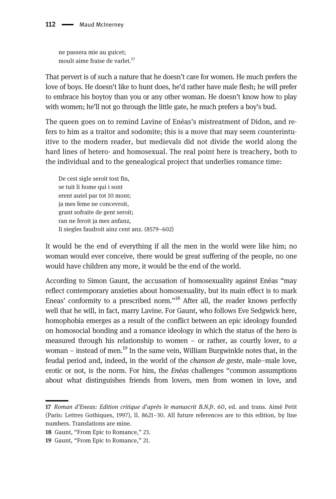ne passera mie au guicet; moult aime fraise de varlet.<sup>17</sup>

That pervert is of such a nature that he doesn't care for women. He much prefers the love of boys. He doesn't like to hunt does, he'd rather have male flesh; he will prefer to embrace his boytoy than you or any other woman. He doesn't know how to play with women; he'll not go through the little gate, he much prefers a boy's bud.

The queen goes on to remind Lavine of Enéas's mistreatment of Didon, and refers to him as a traitor and sodomite; this is a move that may seem counterintuitive to the modern reader, but medievals did not divide the world along the hard lines of hetero- and homosexual. The real point here is treachery, both to the individual and to the genealogical project that underlies romance time:

De cest sigle seroit tost fin, se tuit li home qui i sont erent autel par tot 10 mont; ja mes feme ne concevroit, grant sofraite de gent seroit; ran ne feroit ja mes anfanz, Ii siegles faudroit ainz cent anz. (8579–602)

It would be the end of everything if all the men in the world were like him; no woman would ever conceive, there would be great suffering of the people, no one would have children any more, it would be the end of the world.

According to Simon Gaunt, the accusation of homosexuality against Enéas "may reflect contemporary anxieties about homosexuality, but its main effect is to mark Eneas' conformity to a prescribed norm."<sup>18</sup> After all, the reader knows perfectly well that he will, in fact, marry Lavine. For Gaunt, who follows Eve Sedgwick here, homophobia emerges as a result of the conflict between an epic ideology founded on homosocial bonding and a romance ideology in which the status of the hero is measured through his relationship to women – or rather, as courtly lover, to  $\alpha$ woman – instead of men.<sup>19</sup> In the same vein, William Burgwinkle notes that, in the feudal period and, indeed, in the world of the chanson de geste, male–male love, erotic or not, is the norm. For him, the *Enéas* challenges "common assumptions" about what distinguishes friends from lovers, men from women in love, and

<sup>17</sup> Roman d'Eneas: Edition critique d'après le manuscrit B.N.fr. 60, ed. and trans. Aimé Petit (Paris: Lettres Gothiques, 1997), ll. 8621–30. All future references are to this edition, by line numbers. Translations are mine.

<sup>18</sup> Gaunt, "From Epic to Romance," 23.

<sup>19</sup> Gaunt, "From Epic to Romance," 21.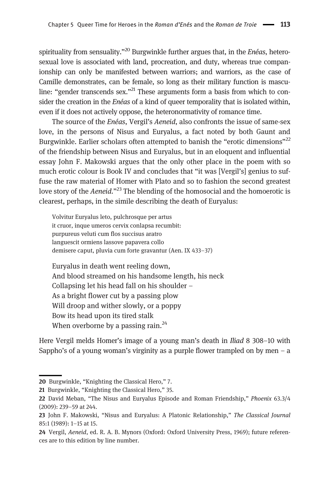spirituality from sensuality."<sup>20</sup> Burgwinkle further argues that, in the *Enéas*, heterosexual love is associated with land, procreation, and duty, whereas true companionship can only be manifested between warriors; and warriors, as the case of Camille demonstrates, can be female, so long as their military function is masculine: "gender transcends sex."<sup>21</sup> These arguments form a basis from which to consider the creation in the *Enéas* of a kind of queer temporality that is isolated within, even if it does not actively oppose, the heteronormativity of romance time.

The source of the Enéas, Vergil's Aeneid, also confronts the issue of same-sex love, in the persons of Nisus and Euryalus, a fact noted by both Gaunt and Burgwinkle. Earlier scholars often attempted to banish the "erotic dimensions"<sup>22</sup> of the friendship between Nisus and Euryalus, but in an eloquent and influential essay John F. Makowski argues that the only other place in the poem with so much erotic colour is Book IV and concludes that "it was [Vergil's] genius to suffuse the raw material of Homer with Plato and so to fashion the second greatest love story of the Aeneid."<sup>23</sup> The blending of the homosocial and the homoerotic is clearest, perhaps, in the simile describing the death of Euryalus:

Volvitur Euryalus leto, pulchrosque per artus it cruor, inque umeros cervix conlapsa recumbit: purpureus veluti cum flos succisus aratro languescit ormiens lassove papavera collo demisere caput, pluvia cum forte gravantur (Aen. IX 433–37)

Euryalus in death went reeling down, And blood streamed on his handsome length, his neck Collapsing let his head fall on his shoulder – As a bright flower cut by a passing plow Will droop and wither slowly, or a poppy Bow its head upon its tired stalk When overborne by a passing rain. $^{24}$ 

Here Vergil melds Homer's image of a young man's death in Iliad 8 308–10 with Sappho's of a young woman's virginity as a purple flower trampled on by men  $-$  a

<sup>20</sup> Burgwinkle, "Knighting the Classical Hero," 7.

<sup>21</sup> Burgwinkle, "Knighting the Classical Hero," 35.

<sup>22</sup> David Meban, "The Nisus and Euryalus Episode and Roman Friendship," Phoenix 63.3/4 (2009): 239–59 at 244.

<sup>23</sup> John F. Makowski, "Nisus and Euryalus: A Platonic Relationship," The Classical Journal 85:1 (1989): 1–15 at 15.

<sup>24</sup> Vergil, Aeneid, ed. R. A. B. Mynors (Oxford: Oxford University Press, 1969); future references are to this edition by line number.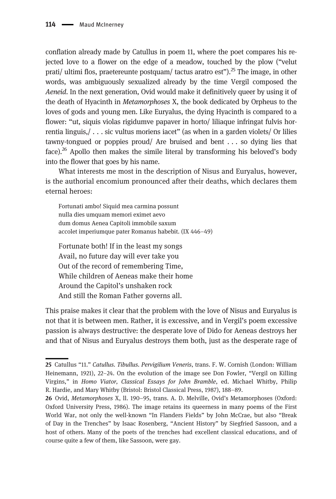conflation already made by Catullus in poem 11, where the poet compares his rejected love to a flower on the edge of a meadow, touched by the plow ("velut prati/ ultimi flos, praetereunte postquam/ tactus aratro est").<sup>25</sup> The image, in other words, was ambiguously sexualized already by the time Vergil composed the Aeneid. In the next generation, Ovid would make it definitively queer by using it of the death of Hyacinth in Metamorphoses X, the book dedicated by Orpheus to the loves of gods and young men. Like Euryalus, the dying Hyacinth is compared to a flower: "ut, siquis violas rigidumve papaver in horto/ liliaque infringat fulvis horrentia linguis,/ . . . sic vultus moriens iacet" (as when in a garden violets/ Or lilies tawny-tongued or poppies proud/ Are bruised and bent . . . so dying lies that face).<sup>26</sup> Apollo then makes the simile literal by transforming his beloved's body into the flower that goes by his name.

What interests me most in the description of Nisus and Euryalus, however, is the authorial encomium pronounced after their deaths, which declares them eternal heroes:

Fortunati ambo! Siquid mea carmina possunt nulla dies umquam memori eximet aevo dum domus Aenea Capitoli immobile saxum accolet imperiumque pater Romanus habebit. (IX 446–49)

Fortunate both! If in the least my songs Avail, no future day will ever take you Out of the record of remembering Time, While children of Aeneas make their home Around the Capitol's unshaken rock And still the Roman Father governs all.

This praise makes it clear that the problem with the love of Nisus and Euryalus is not that it is between men. Rather, it is excessive, and in Vergil's poem excessive passion is always destructive: the desperate love of Dido for Aeneas destroys her and that of Nisus and Euryalus destroys them both, just as the desperate rage of

<sup>25</sup> Catullus "11." Catullus. Tibullus. Pervigilium Veneris, trans. F. W. Cornish (London: William Heinemann, 1921), 22–24. On the evolution of the image see Don Fowler, "Vergil on Killing Virgins," in Homo Viator, Classical Essays for John Bramble, ed. Michael Whitby, Philip R. Hardie, and Mary Whitby (Bristol: Bristol Classical Press, 1987), 188–89.

<sup>26</sup> Ovid, Metamorphoses X, ll. 190–95, trans. A. D. Melville, Ovid's Metamorphoses (Oxford: Oxford University Press, 1986). The image retains its queerness in many poems of the First World War, not only the well-known "In Flanders Fields" by John McCrae, but also "Break of Day in the Trenches" by Isaac Rosenberg, "Ancient History" by Siegfried Sassoon, and a host of others. Many of the poets of the trenches had excellent classical educations, and of course quite a few of them, like Sassoon, were gay.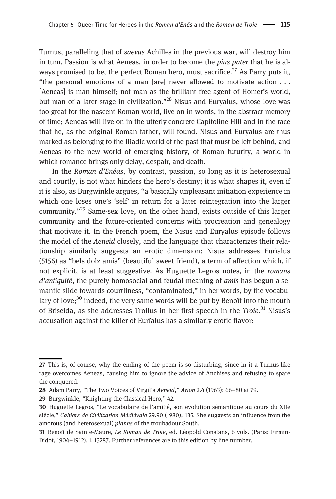Turnus, paralleling that of saevus Achilles in the previous war, will destroy him in turn. Passion is what Aeneas, in order to become the pius pater that he is always promised to be, the perfect Roman hero, must sacrifice.<sup>27</sup> As Parry puts it, "the personal emotions of a man [are] never allowed to motivate action . . . [Aeneas] is man himself; not man as the brilliant free agent of Homer's world, but man of a later stage in civilization."<sup>28</sup> Nisus and Euryalus, whose love was too great for the nascent Roman world, live on in words, in the abstract memory of time; Aeneas will live on in the utterly concrete Capitoline Hill and in the race that he, as the original Roman father, will found. Nisus and Euryalus are thus marked as belonging to the Iliadic world of the past that must be left behind, and Aeneas to the new world of emerging history, of Roman futurity, a world in which romance brings only delay, despair, and death.

In the Roman d'Enéas, by contrast, passion, so long as it is heterosexual and courtly, is not what hinders the hero's destiny; it is what shapes it, even if it is also, as Burgwinkle argues, "a basically unpleasant initiation experience in which one loses one's 'self' in return for a later reintegration into the larger community."<sup>29</sup> Same-sex love, on the other hand, exists outside of this larger community and the future-oriented concerns with procreation and genealogy that motivate it. In the French poem, the Nisus and Euryalus episode follows the model of the Aeneid closely, and the language that characterizes their relationship similarly suggests an erotic dimension: Nisus addresses Eurïalus (5156) as "bels dolz amis" (beautiful sweet friend), a term of affection which, if not explicit, is at least suggestive. As Huguette Legros notes, in the romans d'antiquité, the purely homosocial and feudal meaning of *amis* has begun a semantic slide towards courtliness, "contaminated," in her words, by the vocabulary of love;<sup>30</sup> indeed, the very same words will be put by Benoît into the mouth of Briseida, as she addresses Troilus in her first speech in the Troie.<sup>31</sup> Nisus's accusation against the killer of Eurïalus has a similarly erotic flavor:

<sup>27</sup> This is, of course, why the ending of the poem is so disturbing, since in it a Turnus-like rage overcomes Aeneas, causing him to ignore the advice of Anchises and refusing to spare the conquered.

<sup>28</sup> Adam Parry, "The Two Voices of Virgil's Aeneid," Arion 2.4 (1963): 66–80 at 79.

<sup>29</sup> Burgwinkle, "Knighting the Classical Hero," 42.

<sup>30</sup> Huguette Legros, "Le vocabulaire de l'amitié, son évolution sémantique au cours du XIIe siècle," Cahiers de Civilization Médiévale 29.90 (1980), 135. She suggests an influence from the amorous (and heterosexual) planhs of the troubadour South.

<sup>31</sup> Benoît de Sainte-Maure, Le Roman de Troie, ed. Léopold Constans, 6 vols. (Paris: Firmin-Didot, 1904–1912), l. 13287. Further references are to this edition by line number.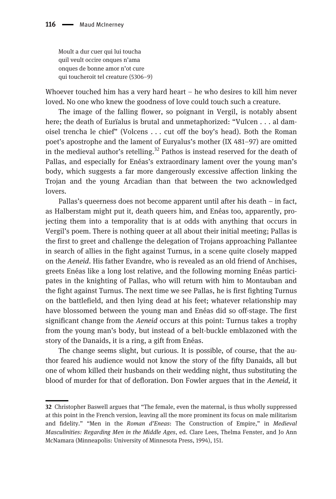Moult a dur cuer qui lui toucha quil veult occire onques n'ama onques de bonne amor n'ot cure qui toucheroit tel creature (5306–9)

Whoever touched him has a very hard heart – he who desires to kill him never loved. No one who knew the goodness of love could touch such a creature.

The image of the falling flower, so poignant in Vergil, is notably absent here; the death of Eurïalus is brutal and unmetaphorized: "Vulcen . . . al damoisel trencha le chief" (Volcens . . . cut off the boy's head). Both the Roman poet's apostrophe and the lament of Euryalus's mother (IX 481–97) are omitted in the medieval author's retelling.<sup>32</sup> Pathos is instead reserved for the death of Pallas, and especially for Enéas's extraordinary lament over the young man's body, which suggests a far more dangerously excessive affection linking the Trojan and the young Arcadian than that between the two acknowledged lovers.

Pallas's queerness does not become apparent until after his death – in fact, as Halberstam might put it, death queers him, and Enéas too, apparently, projecting them into a temporality that is at odds with anything that occurs in Vergil's poem. There is nothing queer at all about their initial meeting; Pallas is the first to greet and challenge the delegation of Trojans approaching Pallantee in search of allies in the fight against Turnus, in a scene quite closely mapped on the Aeneid. His father Evandre, who is revealed as an old friend of Anchises, greets Enéas like a long lost relative, and the following morning Enéas participates in the knighting of Pallas, who will return with him to Montauban and the fight against Turnus. The next time we see Pallas, he is first fighting Turnus on the battlefield, and then lying dead at his feet; whatever relationship may have blossomed between the young man and Enéas did so off-stage. The first significant change from the Aeneid occurs at this point: Turnus takes a trophy from the young man's body, but instead of a belt-buckle emblazoned with the story of the Danaids, it is a ring, a gift from Enéas.

The change seems slight, but curious. It is possible, of course, that the author feared his audience would not know the story of the fifty Danaids, all but one of whom killed their husbands on their wedding night, thus substituting the blood of murder for that of defloration. Don Fowler argues that in the Aeneid, it

<sup>32</sup> Christopher Baswell argues that "The female, even the maternal, is thus wholly suppressed at this point in the French version, leaving all the more prominent its focus on male militarism and fidelity." "Men in the Roman d'Eneas: The Construction of Empire," in Medieval Masculinities: Regarding Men in the Middle Ages, ed. Clare Lees, Thelma Fenster, and Jo Ann McNamara (Minneapolis: University of Minnesota Press, 1994), 151.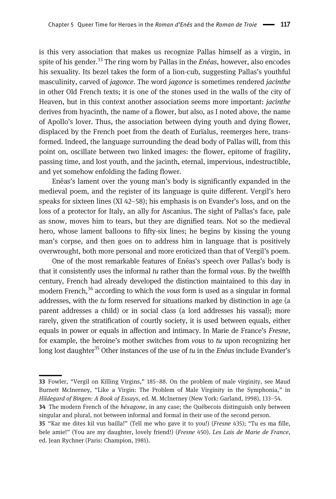is this very association that makes us recognize Pallas himself as a virgin, in spite of his gender.<sup>33</sup> The ring worn by Pallas in the *Enéas*, however, also encodes his sexuality. Its bezel takes the form of a lion-cub, suggesting Pallas's youthful masculinity, carved of *jagonce*. The word *jagonce* is sometimes rendered *jacinthe* in other Old French texts; it is one of the stones used in the walls of the city of Heaven, but in this context another association seems more important: jacinthe derives from hyacinth, the name of a flower, but also, as I noted above, the name of Apollo's lover. Thus, the association between dying youth and dying flower, displaced by the French poet from the death of Eurïalus, reemerges here, transformed. Indeed, the language surrounding the dead body of Pallas will, from this point on, oscillate between two linked images: the flower, epitome of fragility, passing time, and lost youth, and the jacinth, eternal, impervious, indestructible, and yet somehow enfolding the fading flower.

Enéas's lament over the young man's body is significantly expanded in the medieval poem, and the register of its language is quite different. Vergil's hero speaks for sixteen lines (XI 42–58); his emphasis is on Evander's loss, and on the loss of a protector for Italy, an ally for Ascanius. The sight of Pallas's face, pale as snow, moves him to tears, but they are dignified tears. Not so the medieval hero, whose lament balloons to fifty-six lines; he begins by kissing the young man's corpse, and then goes on to address him in language that is positively overwrought, both more personal and more eroticized than that of Vergil's poem.

One of the most remarkable features of Enéas's speech over Pallas's body is that it consistently uses the informal  $tu$  rather than the formal vous. By the twelfth century, French had already developed the distinction maintained to this day in modern French, $34$  according to which the vous form is used as a singular in formal addresses, with the tu form reserved for situations marked by distinction in age (a parent addresses a child) or in social class (a lord addresses his vassal); more rarely, given the stratification of courtly society, it is used between equals, either equals in power or equals in affection and intimacy. In Marie de France's Fresne, for example, the heroine's mother switches from vous to tu upon recognizing her long lost daughter<sup>35</sup> Other instances of the use of tu in the *Enéas* include Evander's

<sup>33</sup> Fowler, "Vergil on Killing Virgins," 185–88. On the problem of male virginity, see Maud Burnett McInerney, "Like a Virgin: The Problem of Male Virginity in the Symphonia," in Hildegard of Bingen: A Book of Essays, ed. M. McInerney (New York: Garland, 1998), 133–54.

<sup>34</sup> The modern French of the *héxagone*, in any case; the Québecois distinguish only between singular and plural, not between informal and formal in their use of the second person.

<sup>35</sup> "Kar me dites kil vus bailla!" (Tell me who gave it to you!) (Fresne 435); "Tu es ma fille, bele amie!" (You are my daughter, lovely friend!) (Fresne 450). Les Lais de Marie de France, ed. Jean Rychner (Paris: Champion, 1981).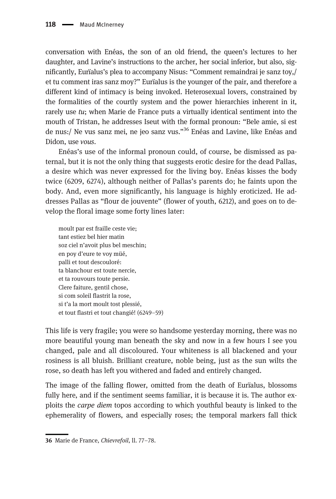conversation with Enéas, the son of an old friend, the queen's lectures to her daughter, and Lavine's instructions to the archer, her social inferior, but also, significantly, Eurïalus's plea to accompany Nisus: "Comment remaindrai je sanz toy,/ et tu comment iras sanz moy?" Eurïalus is the younger of the pair, and therefore a different kind of intimacy is being invoked. Heterosexual lovers, constrained by the formalities of the courtly system and the power hierarchies inherent in it, rarely use  $tu$ ; when Marie de France puts a virtually identical sentiment into the mouth of Tristan, he addresses Iseut with the formal pronoun: "Bele amie, si est de nus:/ Ne vus sanz mei, ne jeo sanz vus."<sup>36</sup> Enéas and Lavine, like Enéas and Didon, use vous.

Enéas's use of the informal pronoun could, of course, be dismissed as paternal, but it is not the only thing that suggests erotic desire for the dead Pallas, a desire which was never expressed for the living boy. Enéas kisses the body twice (6209, 6274), although neither of Pallas's parents do; he faints upon the body. And, even more significantly, his language is highly eroticized. He addresses Pallas as "flour de jouvente" (flower of youth, 6212), and goes on to develop the floral image some forty lines later:

moult par est fraille ceste vie; tant estiez bel hier matin soz ciel n'avoit plus bel meschin; en poy d'eure te voy müé, palli et tout descouloré: ta blanchour est toute nercie, et ta rouvours toute persie. Clere faiture, gentil chose, si com soleil flastrit la rose, si t'a la mort moult tost plessié, et tout flastri et tout changié! (6249–59)

This life is very fragile; you were so handsome yesterday morning, there was no more beautiful young man beneath the sky and now in a few hours I see you changed, pale and all discoloured. Your whiteness is all blackened and your rosiness is all bluish. Brilliant creature, noble being, just as the sun wilts the rose, so death has left you withered and faded and entirely changed.

The image of the falling flower, omitted from the death of Eurïalus, blossoms fully here, and if the sentiment seems familiar, it is because it is. The author exploits the carpe diem topos according to which youthful beauty is linked to the ephemerality of flowers, and especially roses; the temporal markers fall thick

<sup>36</sup> Marie de France, Chievrefoil, ll. 77–78.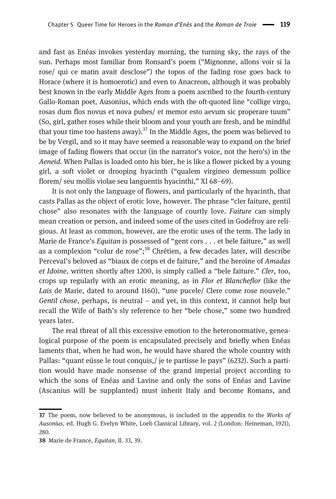and fast as Enéas invokes yesterday morning, the turning sky, the rays of the sun. Perhaps most familiar from Ronsard's poem ("Mignonne, allons voir si la rose/ qui ce matin avait desclose") the topos of the fading rose goes back to Horace (where it is homoerotic) and even to Anacreon, although it was probably best known in the early Middle Ages from a poem ascribed to the fourth-century Gallo-Roman poet, Ausonius, which ends with the oft-quoted line "collige virgo, rosas dum flos novus et nova pubes/ et memor esto aevum sic properare tuum" (So, girl, gather roses while their bloom and your youth are fresh, and be mindful that your time too hastens away).<sup>37</sup> In the Middle Ages, the poem was believed to be by Vergil, and so it may have seemed a reasonable way to expand on the brief image of fading flowers that occur (in the narrator's voice, not the hero's) in the Aeneid. When Pallas is loaded onto his bier, he is like a flower picked by a young girl, a soft violet or drooping hyacinth ("qualem virgineo demessum pollice florem/ seu mollis violae seu languentis hyacinthi," XI 68–69).

It is not only the language of flowers, and particularly of the hyacinth, that casts Pallas as the object of erotic love, however. The phrase "cler faiture, gentil chose" also resonates with the language of courtly love. Faiture can simply mean creation or person, and indeed some of the uses cited in Godefroy are religious. At least as common, however, are the erotic uses of the term. The lady in Marie de France's Equitan is possessed of "gent cors . . . et bele faiture," as well as a complexion "colur de rose";<sup>38</sup> Chrétien, a few decades later, will describe Perceval's beloved as "biaux de corps et de faiture," and the heroine of Amadas et Idoine, written shortly after 1200, is simply called a "bele faiture." Cler, too, crops up regularly with an erotic meaning, as in Flor et Blancheflor (like the Lais de Marie, dated to around 1160), "une pucele/ Clere come rose nouvele." Gentil chose, perhaps, is neutral – and yet, in this context, it cannot help but recall the Wife of Bath's sly reference to her "bele chose," some two hundred years later.

The real threat of all this excessive emotion to the heteronormative, genealogical purpose of the poem is encapsulated precisely and briefly when Enéas laments that, when he had won, he would have shared the whole country with Pallas: "quant eüsse le tout conquis,/ je te partisse le pays" (6232). Such a partition would have made nonsense of the grand imperial project according to which the sons of Enéas and Lavine and only the sons of Enéas and Lavine (Ascanius will be supplanted) must inherit Italy and become Romans, and

<sup>37</sup> The poem, now believed to be anonymous, is included in the appendix to the Works of Ausonius, ed. Hugh G. Evelyn White, Loeb Classical Library, vol. 2 (London: Heineman, 1921), 280.

<sup>38</sup> Marie de France, Equitan, ll. 33, 39.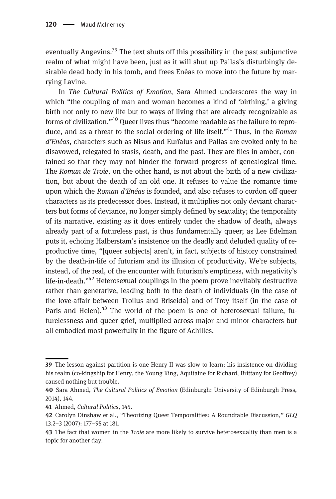eventually Angevins.<sup>39</sup> The text shuts off this possibility in the past subjunctive realm of what might have been, just as it will shut up Pallas's disturbingly desirable dead body in his tomb, and frees Enéas to move into the future by marrying Lavine.

In The Cultural Politics of Emotion, Sara Ahmed underscores the way in which "the coupling of man and woman becomes a kind of 'birthing,' a giving birth not only to new life but to ways of living that are already recognizable as forms of civilization."<sup>40</sup> Queer lives thus "become readable as the failure to reproduce, and as a threat to the social ordering of life itself."<sup>41</sup> Thus, in the Roman d'Enéas, characters such as Nisus and Eurïalus and Pallas are evoked only to be disavowed, relegated to stasis, death, and the past. They are flies in amber, contained so that they may not hinder the forward progress of genealogical time. The Roman de Troie, on the other hand, is not about the birth of a new civilization, but about the death of an old one. It refuses to value the romance time upon which the Roman d'Enéas is founded, and also refuses to cordon off queer characters as its predecessor does. Instead, it multiplies not only deviant characters but forms of deviance, no longer simply defined by sexuality; the temporality of its narrative, existing as it does entirely under the shadow of death, always already part of a futureless past, is thus fundamentally queer; as Lee Edelman puts it, echoing Halberstam's insistence on the deadly and deluded quality of reproductive time, "[queer subjects] aren't, in fact, subjects of history constrained by the death-in-life of futurism and its illusion of productivity. We're subjects, instead, of the real, of the encounter with futurism's emptiness, with negativity's life-in-death."<sup>42</sup> Heterosexual couplings in the poem prove inevitably destructive rather than generative, leading both to the death of individuals (in the case of the love-affair between Troilus and Briseida) and of Troy itself (in the case of Paris and Helen).<sup>43</sup> The world of the poem is one of heterosexual failure, futurelessness and queer grief, multiplied across major and minor characters but all embodied most powerfully in the figure of Achilles.

<sup>39</sup> The lesson against partition is one Henry II was slow to learn; his insistence on dividing his realm (co-kingship for Henry, the Young King, Aquitaine for Richard, Brittany for Geoffrey) caused nothing but trouble.

<sup>40</sup> Sara Ahmed, The Cultural Politics of Emotion (Edinburgh: University of Edinburgh Press, 2014), 144.

<sup>41</sup> Ahmed, Cultural Politics, 145.

<sup>42</sup> Carolyn Dinshaw et al., "Theorizing Queer Temporalities: A Roundtable Discussion," GLQ 13.2–3 (2007): 177–95 at 181.

<sup>43</sup> The fact that women in the *Troie* are more likely to survive heterosexuality than men is a topic for another day.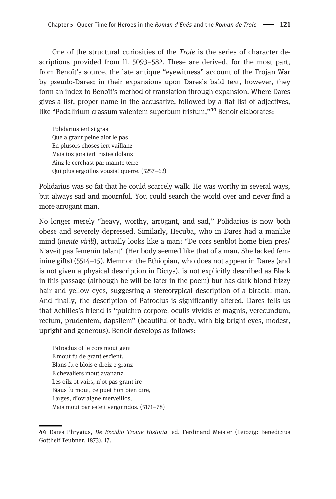One of the structural curiosities of the Troie is the series of character descriptions provided from ll. 5093–582. These are derived, for the most part, from Benoît's source, the late antique "eyewitness" account of the Trojan War by pseudo-Dares; in their expansions upon Dares's bald text, however, they form an index to Benoît's method of translation through expansion. Where Dares gives a list, proper name in the accusative, followed by a flat list of adjectives, like "Podalirium crassum valentem superbum tristum,"<sup>44</sup> Benoit elaborates:

Polidarius iert si gras Que a grant peine alot le pas En plusors choses iert vaillanz Mais toz jors iert tristes dolanz Ainz le cerchast par mainte terre Qui plus ergoillos vousist querre. (5257–62)

Polidarius was so fat that he could scarcely walk. He was worthy in several ways, but always sad and mournful. You could search the world over and never find a more arrogant man.

No longer merely "heavy, worthy, arrogant, and sad," Polidarius is now both obese and severely depressed. Similarly, Hecuba, who in Dares had a manlike mind (mente virili), actually looks like a man: "De cors senblot home bien pres/ N'aveit pas femenin talant" (Her body seemed like that of a man. She lacked feminine gifts) (5514–15). Memnon the Ethiopian, who does not appear in Dares (and is not given a physical description in Dictys), is not explicitly described as Black in this passage (although he will be later in the poem) but has dark blond frizzy hair and yellow eyes, suggesting a stereotypical description of a biracial man. And finally, the description of Patroclus is significantly altered. Dares tells us that Achilles's friend is "pulchro corpore, oculis vividis et magnis, verecundum, rectum, prudentem, dapsilem" (beautiful of body, with big bright eyes, modest, upright and generous). Benoit develops as follows:

Patroclus ot le cors mout gent E mout fu de grant escïent. Blans fu e blois e dreiz e granz E chevaliers mout avananz. Les oilz ot vairs, n'ot pas grant ire Biaus fu mout, ce puet hon bien dire, Larges, d'ovraigne merveillos, Mais mout par esteit vergoindos. (5171–78)

<sup>44</sup> Dares Phrygius, De Excidio Troiae Historia, ed. Ferdinand Meister (Leipzig: Benedictus Gotthelf Teubner, 1873), 17.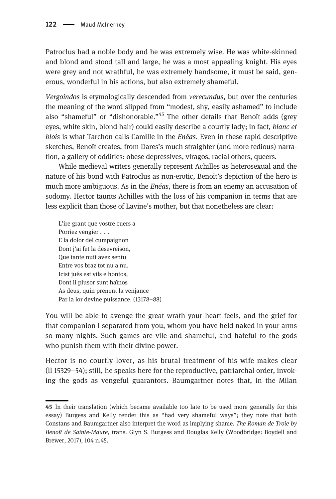Patroclus had a noble body and he was extremely wise. He was white-skinned and blond and stood tall and large, he was a most appealing knight. His eyes were grey and not wrathful, he was extremely handsome, it must be said, generous, wonderful in his actions, but also extremely shameful.

Vergoindos is etymologically descended from verecundus, but over the centuries the meaning of the word slipped from "modest, shy, easily ashamed" to include also "shameful" or "dishonorable."<sup>45</sup> The other details that Benoît adds (grey eyes, white skin, blond hair) could easily describe a courtly lady; in fact, *blanc et* blois is what Tarchon calls Camille in the *Enéas*. Even in these rapid descriptive sketches, Benoît creates, from Dares's much straighter (and more tedious) narration, a gallery of oddities: obese depressives, viragos, racial others, queers.

While medieval writers generally represent Achilles as heterosexual and the nature of his bond with Patroclus as non-erotic, Benoît's depiction of the hero is much more ambiguous. As in the *Enéas*, there is from an enemy an accusation of sodomy. Hector taunts Achilles with the loss of his companion in terms that are less explicit than those of Lavine's mother, but that nonetheless are clear:

L'ire grant que vostre cuers a Porriez vengier . . . E la dolor del cumpaignon Dont j'ai fet la desevreison, Que tante nuit avez sentu Entre vos braz tot nu a nu. Icist jués est vils e hontos, Dont li plusor sunt haïnos As deus, quin prenent la venjance Par la lor devine puissance. (13178–88)

You will be able to avenge the great wrath your heart feels, and the grief for that companion I separated from you, whom you have held naked in your arms so many nights. Such games are vile and shameful, and hateful to the gods who punish them with their divine power.

Hector is no courtly lover, as his brutal treatment of his wife makes clear (ll 15329–54); still, he speaks here for the reproductive, patriarchal order, invoking the gods as vengeful guarantors. Baumgartner notes that, in the Milan

<sup>45</sup> In their translation (which became available too late to be used more generally for this essay) Burgess and Kelly render this as "had very shameful ways"; they note that both Constans and Baumgartner also interpret the word as implying shame. The Roman de Troie by Benoît de Sainte-Maure, trans. Glyn S. Burgess and Douglas Kelly (Woodbridge: Boydell and Brewer, 2017), 104 n.45.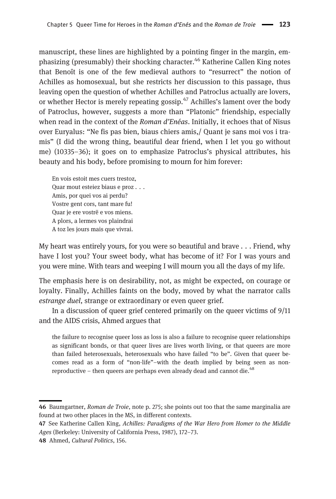manuscript, these lines are highlighted by a pointing finger in the margin, emphasizing (presumably) their shocking character.<sup>46</sup> Katherine Callen King notes that Benoît is one of the few medieval authors to "resurrect" the notion of Achilles as homosexual, but she restricts her discussion to this passage, thus leaving open the question of whether Achilles and Patroclus actually are lovers, or whether Hector is merely repeating gossip. $47$  Achilles's lament over the body of Patroclus, however, suggests a more than "Platonic" friendship, especially when read in the context of the Roman d'Enéas. Initially, it echoes that of Nisus over Euryalus: "Ne fis pas bien, biaus chiers amis,/ Quant je sans moi vos i tramis" (I did the wrong thing, beautiful dear friend, when I let you go without me) (10335–36); it goes on to emphasize Patroclus's physical attributes, his beauty and his body, before promising to mourn for him forever:

En vois estoit mes cuers trestoz, Quar mout esteiez biaus e proz . . . Amis, por quei vos ai perdu? Vostre gent cors, tant mare fu! Quar je ere vostrë e vos miens. A plors, a lermes vos plaindrai A toz les jours mais que vivrai.

My heart was entirely yours, for you were so beautiful and brave . . . Friend, why have I lost you? Your sweet body, what has become of it? For I was yours and you were mine. With tears and weeping I will mourn you all the days of my life.

The emphasis here is on desirability, not, as might be expected, on courage or loyalty. Finally, Achilles faints on the body, moved by what the narrator calls estrange duel, strange or extraordinary or even queer grief.

In a discussion of queer grief centered primarily on the queer victims of 9/11 and the AIDS crisis, Ahmed argues that

the failure to recognise queer loss as loss is also a failure to recognise queer relationships as significant bonds, or that queer lives are lives worth living, or that queers are more than failed heterosexuals, heterosexuals who have failed "to be". Given that queer becomes read as a form of "non-life"–with the death implied by being seen as nonreproductive – then queers are perhaps even already dead and cannot die.<sup>48</sup>

<sup>46</sup> Baumgartner, Roman de Troie, note p. 275; she points out too that the same marginalia are found at two other places in the MS, in different contexts.

<sup>47</sup> See Katherine Callen King, Achilles: Paradigms of the War Hero from Homer to the Middle Ages (Berkeley: University of California Press, 1987), 172–73.

<sup>48</sup> Ahmed, Cultural Politics, 156.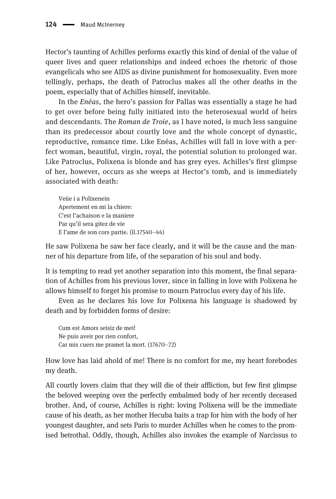Hector's taunting of Achilles performs exactly this kind of denial of the value of queer lives and queer relationships and indeed echoes the rhetoric of those evangelicals who see AIDS as divine punishment for homosexuality. Even more tellingly, perhaps, the death of Patroclus makes all the other deaths in the poem, especially that of Achilles himself, inevitable.

In the Enéas, the hero's passion for Pallas was essentially a stage he had to get over before being fully initiated into the heterosexual world of heirs and descendants. The Roman de Troie, as I have noted, is much less sanguine than its predecessor about courtly love and the whole concept of dynastic, reproductive, romance time. Like Enéas, Achilles will fall in love with a perfect woman, beautiful, virgin, royal, the potential solution to prolonged war. Like Patroclus, Polixena is blonde and has grey eyes. Achilles's first glimpse of her, however, occurs as she weeps at Hector's tomb, and is immediately associated with death:

Veüe i a Polixenein Apertement en mi la chiere: C'est l'achaison e la maniere Par qu'il sera gitez de vie E l'ame de son cors partie. (ll.17540–44)

He saw Polixena he saw her face clearly, and it will be the cause and the manner of his departure from life, of the separation of his soul and body.

It is tempting to read yet another separation into this moment, the final separation of Achilles from his previous lover, since in falling in love with Polixena he allows himself to forget his promise to mourn Patroclus every day of his life.

Even as he declares his love for Polixena his language is shadowed by death and by forbidden forms of desire:

Cum est Amors seisiz de mei! Ne puis aveir por rien confort, Car mis cuers me pramet la mort. (17670–72)

How love has laid ahold of me! There is no comfort for me, my heart forebodes my death.

All courtly lovers claim that they will die of their affliction, but few first glimpse the beloved weeping over the perfectly embalmed body of her recently deceased brother. And, of course, Achilles is right: loving Polixena will be the immediate cause of his death, as her mother Hecuba baits a trap for him with the body of her youngest daughter, and sets Paris to murder Achilles when he comes to the promised betrothal. Oddly, though, Achilles also invokes the example of Narcissus to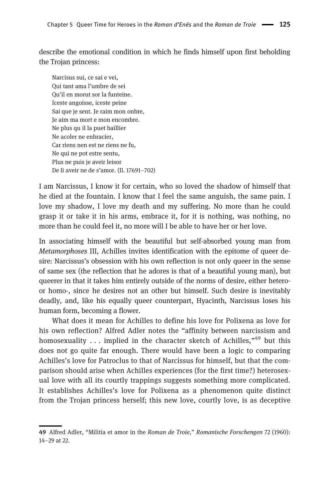describe the emotional condition in which he finds himself upon first beholding the Trojan princess:

Narcisus sui, ce sai e vei, Qui tant ama l'umbre de sei Qu'il en morut sor la funteine. Iceste angoisse, iceste peine Sai que je sent. Je raim mon onbre, Je aim ma mort e mon encombre. Ne plus qu il la puet baillier Ne acoler ne enbracier, Car riens nen est ne riens ne fu, Ne qui ne pot estre sentu, Plus ne puis je aveir leisor De li aveir ne de s'amor. (ll. 17691–702)

I am Narcissus, I know it for certain, who so loved the shadow of himself that he died at the fountain. I know that I feel the same anguish, the same pain. I love my shadow, I love my death and my suffering. No more than he could grasp it or take it in his arms, embrace it, for it is nothing, was nothing, no more than he could feel it, no more will I be able to have her or her love.

In associating himself with the beautiful but self-absorbed young man from Metamorphoses III, Achilles invites identification with the epitome of queer desire: Narcissus's obsession with his own reflection is not only queer in the sense of same sex (the reflection that he adores is that of a beautiful young man), but queerer in that it takes him entirely outside of the norms of desire, either heteroor homo-, since he desires not an other but himself. Such desire is inevitably deadly, and, like his equally queer counterpart, Hyacinth, Narcissus loses his human form, becoming a flower.

What does it mean for Achilles to define his love for Polixena as love for his own reflection? Alfred Adler notes the "affinity between narcissism and homosexuality . . . implied in the character sketch of Achilles,"<sup>49</sup> but this does not go quite far enough. There would have been a logic to comparing Achilles's love for Patroclus to that of Narcissus for himself, but that the comparison should arise when Achilles experiences (for the first time?) heterosexual love with all its courtly trappings suggests something more complicated. It establishes Achilles's love for Polixena as a phenomenon quite distinct from the Trojan princess herself; this new love, courtly love, is as deceptive

<sup>49</sup> Alfred Adler, "Militia et amor in the Roman de Troie," Romanische Forschengen 72 (1960): 14–29 at 22.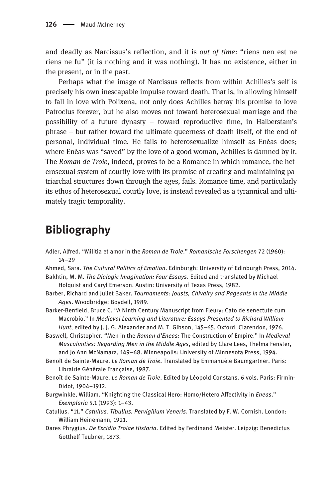and deadly as Narcissus's reflection, and it is out of time: "riens nen est ne riens ne fu" (it is nothing and it was nothing). It has no existence, either in the present, or in the past.

Perhaps what the image of Narcissus reflects from within Achilles's self is precisely his own inescapable impulse toward death. That is, in allowing himself to fall in love with Polixena, not only does Achilles betray his promise to love Patroclus forever, but he also moves not toward heterosexual marriage and the possibility of a future dynasty – toward reproductive time, in Halberstam's phrase – but rather toward the ultimate queerness of death itself, of the end of personal, individual time. He fails to heterosexualize himself as Enéas does; where Enéas was "saved" by the love of a good woman, Achilles is damned by it. The Roman de Troie, indeed, proves to be a Romance in which romance, the heterosexual system of courtly love with its promise of creating and maintaining patriarchal structures down through the ages, fails. Romance time, and particularly its ethos of heterosexual courtly love, is instead revealed as a tyrannical and ultimately tragic temporality.

## Bibliography

- Adler, Alfred. "Militia et amor in the Roman de Troie." Romanische Forschengen 72 (1960): 14–29
- Ahmed, Sara. The Cultural Politics of Emotion. Edinburgh: University of Edinburgh Press, 2014. Bakhtin, M. M. The Dialogic Imagination: Four Essays. Edited and translated by Michael
- Holquist and Caryl Emerson. Austin: University of Texas Press, 1982.
- Barber, Richard and Juliet Baker. Tournaments: Jousts, Chivalry and Pageants in the Middle Ages. Woodbridge: Boydell, 1989.
- Barker-Benfield, Bruce C. "A Ninth Century Manuscript from Fleury: Cato de senectute cum Macrobio." In Medieval Learning and Literature: Essays Presented to Richard William Hunt, edited by J. J. G. Alexander and M. T. Gibson, 145–65. Oxford: Clarendon, 1976.
- Baswell, Christopher. "Men in the Roman d'Eneas: The Construction of Empire." In Medieval Masculinities: Regarding Men in the Middle Ages, edited by Clare Lees, Thelma Fenster, and Jo Ann McNamara, 149–68. Minneapolis: University of Minnesota Press, 1994.
- Benoît de Sainte-Maure. Le Roman de Troie. Translated by Emmanuèle Baumgartner. Paris: Librairie Générale Française, 1987.
- Benoît de Sainte-Maure. Le Roman de Troie. Edited by Léopold Constans. 6 vols. Paris: Firmin-Didot, 1904–1912.
- Burgwinkle, William. "Knighting the Classical Hero: Homo/Hetero Affectivity in Eneas." Exemplaria 5.1 (1993): 1–43.
- Catullus. "11." Catullus. Tibullus. Pervigilium Veneris. Translated by F. W. Cornish. London: William Heinemann, 1921.
- Dares Phrygius. De Excidio Troiae Historia. Edited by Ferdinand Meister. Leipzig: Benedictus Gotthelf Teubner, 1873.